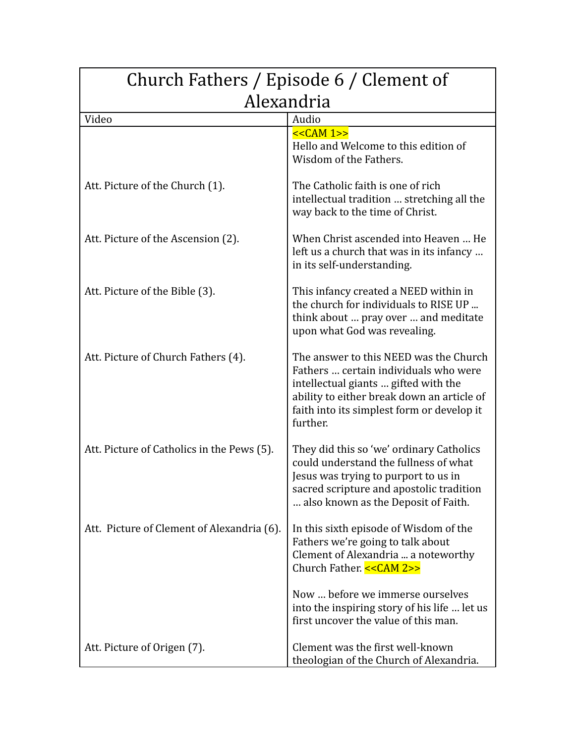| Church Fathers / Episode 6 / Clement of    |                                                                                                                                                                                                                                 |
|--------------------------------------------|---------------------------------------------------------------------------------------------------------------------------------------------------------------------------------------------------------------------------------|
| Alexandria                                 |                                                                                                                                                                                                                                 |
| Video                                      | Audio                                                                                                                                                                                                                           |
|                                            | $<<CAM 1>>$<br>Hello and Welcome to this edition of<br>Wisdom of the Fathers.                                                                                                                                                   |
| Att. Picture of the Church (1).            | The Catholic faith is one of rich<br>intellectual tradition  stretching all the<br>way back to the time of Christ.                                                                                                              |
| Att. Picture of the Ascension (2).         | When Christ ascended into Heaven  He<br>left us a church that was in its infancy<br>in its self-understanding.                                                                                                                  |
| Att. Picture of the Bible (3).             | This infancy created a NEED within in<br>the church for individuals to RISE UP<br>think about  pray over  and meditate<br>upon what God was revealing.                                                                          |
| Att. Picture of Church Fathers (4).        | The answer to this NEED was the Church<br>Fathers  certain individuals who were<br>intellectual giants  gifted with the<br>ability to either break down an article of<br>faith into its simplest form or develop it<br>further. |
| Att. Picture of Catholics in the Pews (5). | They did this so 'we' ordinary Catholics<br>could understand the fullness of what<br>Jesus was trying to purport to us in<br>sacred scripture and apostolic tradition<br>also known as the Deposit of Faith.                    |
| Att. Picture of Clement of Alexandria (6). | In this sixth episode of Wisdom of the<br>Fathers we're going to talk about<br>Clement of Alexandria  a noteworthy<br>Church Father. << CAM 2>>                                                                                 |
|                                            | Now  before we immerse ourselves<br>into the inspiring story of his life  let us<br>first uncover the value of this man.                                                                                                        |
| Att. Picture of Origen (7).                | Clement was the first well-known<br>theologian of the Church of Alexandria.                                                                                                                                                     |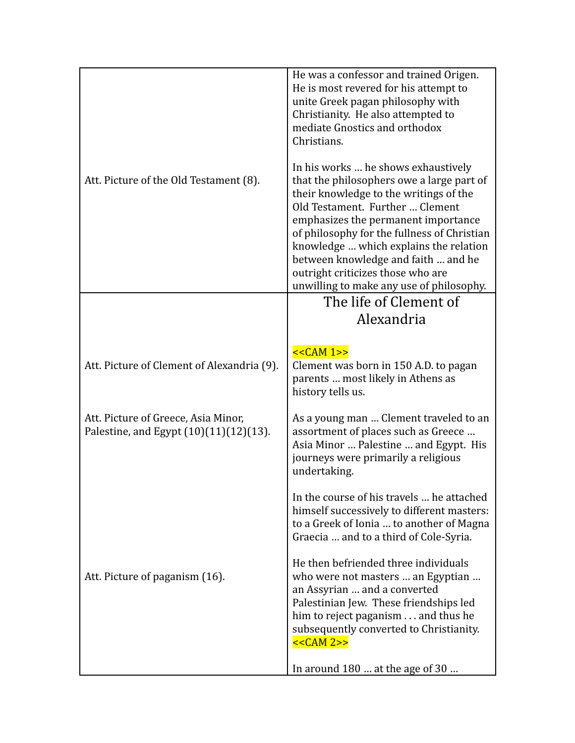|                                                                               | He was a confessor and trained Origen.<br>He is most revered for his attempt to<br>unite Greek pagan philosophy with<br>Christianity. He also attempted to<br>mediate Gnostics and orthodox<br>Christians.                                                                                                                                                                                                            |
|-------------------------------------------------------------------------------|-----------------------------------------------------------------------------------------------------------------------------------------------------------------------------------------------------------------------------------------------------------------------------------------------------------------------------------------------------------------------------------------------------------------------|
| Att. Picture of the Old Testament (8).                                        | In his works  he shows exhaustively<br>that the philosophers owe a large part of<br>their knowledge to the writings of the<br>Old Testament. Further  Clement<br>emphasizes the permanent importance<br>of philosophy for the fullness of Christian<br>knowledge  which explains the relation<br>between knowledge and faith  and he<br>outright criticizes those who are<br>unwilling to make any use of philosophy. |
|                                                                               | The life of Clement of                                                                                                                                                                                                                                                                                                                                                                                                |
|                                                                               | Alexandria                                                                                                                                                                                                                                                                                                                                                                                                            |
| Att. Picture of Clement of Alexandria (9).                                    | $<<CAM 1>>$<br>Clement was born in 150 A.D. to pagan<br>parents  most likely in Athens as<br>history tells us.                                                                                                                                                                                                                                                                                                        |
| Att. Picture of Greece, Asia Minor,<br>Palestine, and Egypt (10)(11)(12)(13). | As a young man  Clement traveled to an<br>assortment of places such as Greece<br>Asia Minor  Palestine  and Egypt. His<br>journeys were primarily a religious<br>undertaking.                                                                                                                                                                                                                                         |
|                                                                               | In the course of his travels  he attached<br>himself successively to different masters:<br>to a Greek of Ionia  to another of Magna<br>Graecia  and to a third of Cole-Syria.                                                                                                                                                                                                                                         |
| Att. Picture of paganism (16).                                                | He then befriended three individuals<br>who were not masters  an Egyptian<br>an Assyrian  and a converted<br>Palestinian Jew. These friendships led<br>him to reject paganism and thus he<br>subsequently converted to Christianity.<br>$<<CAM 2>>$                                                                                                                                                                   |
|                                                                               | In around 180  at the age of 30                                                                                                                                                                                                                                                                                                                                                                                       |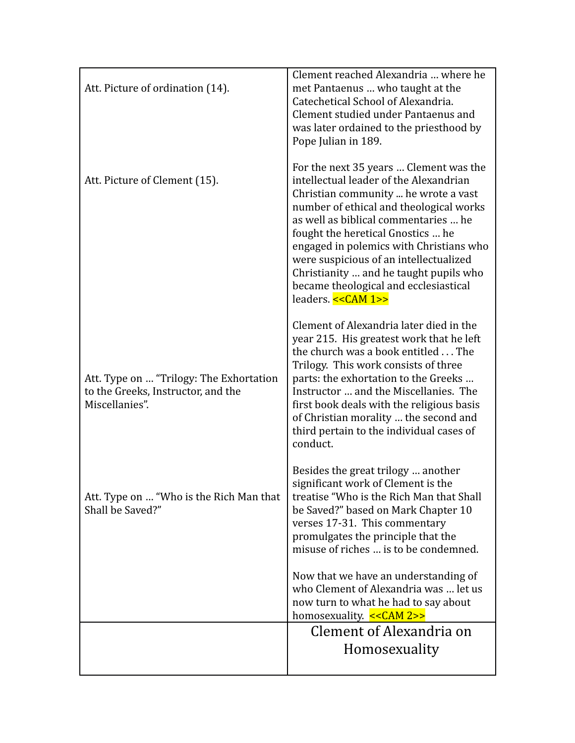| Att. Picture of ordination (14).                                                                | Clement reached Alexandria  where he<br>met Pantaenus  who taught at the<br>Catechetical School of Alexandria.<br>Clement studied under Pantaenus and<br>was later ordained to the priesthood by<br>Pope Julian in 189.                                                                                                                                                                                                                         |
|-------------------------------------------------------------------------------------------------|-------------------------------------------------------------------------------------------------------------------------------------------------------------------------------------------------------------------------------------------------------------------------------------------------------------------------------------------------------------------------------------------------------------------------------------------------|
| Att. Picture of Clement (15).                                                                   | For the next 35 years  Clement was the<br>intellectual leader of the Alexandrian<br>Christian community  he wrote a vast<br>number of ethical and theological works<br>as well as biblical commentaries  he<br>fought the heretical Gnostics  he<br>engaged in polemics with Christians who<br>were suspicious of an intellectualized<br>Christianity  and he taught pupils who<br>became theological and ecclesiastical<br>leaders. << CAM 1>> |
| Att. Type on  "Trilogy: The Exhortation<br>to the Greeks, Instructor, and the<br>Miscellanies". | Clement of Alexandria later died in the<br>year 215. His greatest work that he left<br>the church was a book entitled The<br>Trilogy. This work consists of three<br>parts: the exhortation to the Greeks<br>Instructor  and the Miscellanies. The<br>first book deals with the religious basis<br>of Christian morality  the second and<br>third pertain to the individual cases of<br>conduct.                                                |
| Att. Type on  "Who is the Rich Man that<br>Shall be Saved?"                                     | Besides the great trilogy  another<br>significant work of Clement is the<br>treatise "Who is the Rich Man that Shall<br>be Saved?" based on Mark Chapter 10<br>verses 17-31. This commentary<br>promulgates the principle that the<br>misuse of riches  is to be condemned.                                                                                                                                                                     |
|                                                                                                 | Now that we have an understanding of<br>who Clement of Alexandria was  let us<br>now turn to what he had to say about<br>homosexuality. << CAM 2>>                                                                                                                                                                                                                                                                                              |
|                                                                                                 | Clement of Alexandria on                                                                                                                                                                                                                                                                                                                                                                                                                        |
|                                                                                                 | Homosexuality                                                                                                                                                                                                                                                                                                                                                                                                                                   |
|                                                                                                 |                                                                                                                                                                                                                                                                                                                                                                                                                                                 |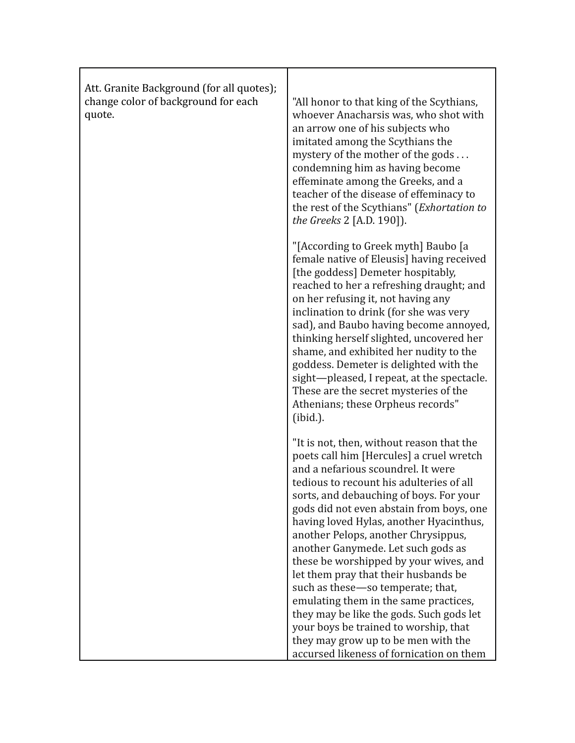| Att. Granite Background (for all quotes);<br>change color of background for each<br>quote. | "All honor to that king of the Scythians,<br>whoever Anacharsis was, who shot with<br>an arrow one of his subjects who<br>imitated among the Scythians the<br>mystery of the mother of the gods<br>condemning him as having become<br>effeminate among the Greeks, and a<br>teacher of the disease of effeminacy to<br>the rest of the Scythians" (Exhortation to<br>the Greeks 2 [A.D. 190]).                                                                                                                                                                                                                                                                                                                                 |
|--------------------------------------------------------------------------------------------|--------------------------------------------------------------------------------------------------------------------------------------------------------------------------------------------------------------------------------------------------------------------------------------------------------------------------------------------------------------------------------------------------------------------------------------------------------------------------------------------------------------------------------------------------------------------------------------------------------------------------------------------------------------------------------------------------------------------------------|
|                                                                                            | "[According to Greek myth] Baubo [a<br>female native of Eleusis] having received<br>[the goddess] Demeter hospitably,<br>reached to her a refreshing draught; and<br>on her refusing it, not having any<br>inclination to drink (for she was very<br>sad), and Baubo having become annoyed,<br>thinking herself slighted, uncovered her<br>shame, and exhibited her nudity to the<br>goddess. Demeter is delighted with the<br>sight-pleased, I repeat, at the spectacle.<br>These are the secret mysteries of the<br>Athenians; these Orpheus records"<br>$(ibid.)$ .                                                                                                                                                         |
|                                                                                            | "It is not, then, without reason that the<br>poets call him [Hercules] a cruel wretch<br>and a nefarious scoundrel. It were<br>tedious to recount his adulteries of all<br>sorts, and debauching of boys. For your<br>gods did not even abstain from boys, one<br>having loved Hylas, another Hyacinthus,<br>another Pelops, another Chrysippus,<br>another Ganymede. Let such gods as<br>these be worshipped by your wives, and<br>let them pray that their husbands be<br>such as these-so temperate; that,<br>emulating them in the same practices,<br>they may be like the gods. Such gods let<br>your boys be trained to worship, that<br>they may grow up to be men with the<br>accursed likeness of fornication on them |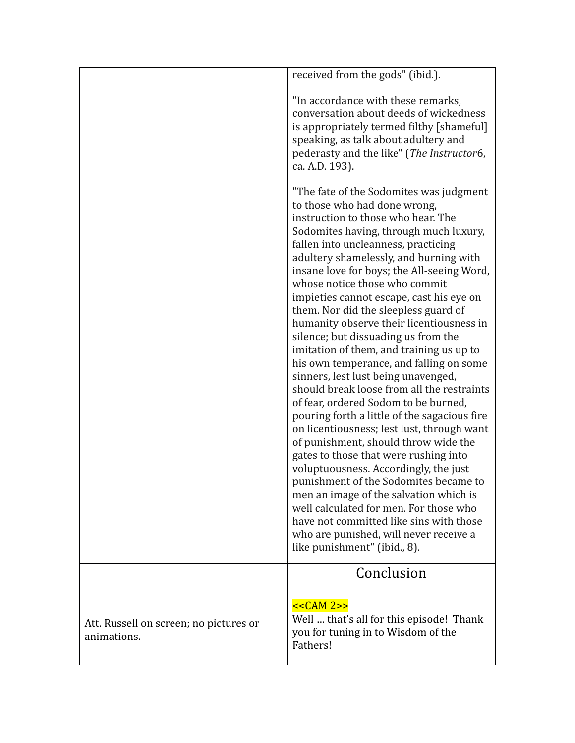|                                                       | received from the gods" (ibid.).                                                                                                                                                                                                                                                                                                                                                                                                                                                                                                                                                                                                                                                                                                                                                                                                                                                                                                                                                                                                                                                                                                                                                             |
|-------------------------------------------------------|----------------------------------------------------------------------------------------------------------------------------------------------------------------------------------------------------------------------------------------------------------------------------------------------------------------------------------------------------------------------------------------------------------------------------------------------------------------------------------------------------------------------------------------------------------------------------------------------------------------------------------------------------------------------------------------------------------------------------------------------------------------------------------------------------------------------------------------------------------------------------------------------------------------------------------------------------------------------------------------------------------------------------------------------------------------------------------------------------------------------------------------------------------------------------------------------|
|                                                       | "In accordance with these remarks,<br>conversation about deeds of wickedness<br>is appropriately termed filthy [shameful]                                                                                                                                                                                                                                                                                                                                                                                                                                                                                                                                                                                                                                                                                                                                                                                                                                                                                                                                                                                                                                                                    |
|                                                       | speaking, as talk about adultery and<br>pederasty and the like" (The Instructor6,<br>ca. A.D. 193).                                                                                                                                                                                                                                                                                                                                                                                                                                                                                                                                                                                                                                                                                                                                                                                                                                                                                                                                                                                                                                                                                          |
|                                                       | "The fate of the Sodomites was judgment<br>to those who had done wrong,<br>instruction to those who hear. The<br>Sodomites having, through much luxury,<br>fallen into uncleanness, practicing<br>adultery shamelessly, and burning with<br>insane love for boys; the All-seeing Word,<br>whose notice those who commit<br>impieties cannot escape, cast his eye on<br>them. Nor did the sleepless guard of<br>humanity observe their licentiousness in<br>silence; but dissuading us from the<br>imitation of them, and training us up to<br>his own temperance, and falling on some<br>sinners, lest lust being unavenged,<br>should break loose from all the restraints<br>of fear, ordered Sodom to be burned,<br>pouring forth a little of the sagacious fire<br>on licentiousness; lest lust, through want<br>of punishment, should throw wide the<br>gates to those that were rushing into<br>voluptuousness. Accordingly, the just<br>punishment of the Sodomites became to<br>men an image of the salvation which is<br>well calculated for men. For those who<br>have not committed like sins with those<br>who are punished, will never receive a<br>like punishment" (ibid., 8). |
|                                                       | Conclusion                                                                                                                                                                                                                                                                                                                                                                                                                                                                                                                                                                                                                                                                                                                                                                                                                                                                                                                                                                                                                                                                                                                                                                                   |
| Att. Russell on screen; no pictures or<br>animations. | $<<CAM 2>>$<br>Well  that's all for this episode! Thank<br>you for tuning in to Wisdom of the<br>Fathers!                                                                                                                                                                                                                                                                                                                                                                                                                                                                                                                                                                                                                                                                                                                                                                                                                                                                                                                                                                                                                                                                                    |